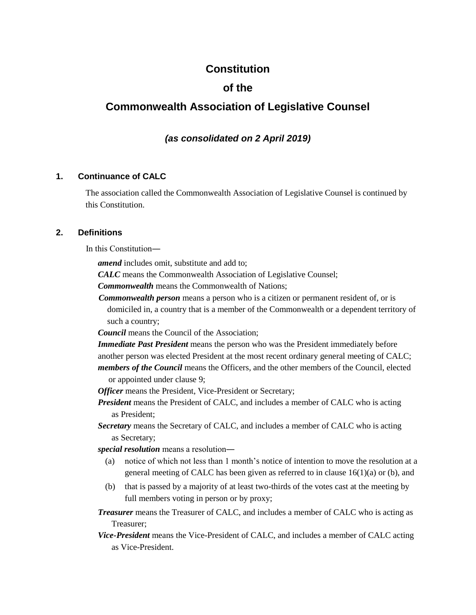# **Constitution**

# **of the**

# **Commonwealth Association of Legislative Counsel**

# *(as consolidated on 2 April 2019)*

# **1. Continuance of CALC**

The association called the Commonwealth Association of Legislative Counsel is continued by this Constitution.

#### **2. Definitions**

In this Constitution―

*amend* includes omit, substitute and add to;

*CALC* means the Commonwealth Association of Legislative Counsel;

*Commonwealth* means the Commonwealth of Nations;

*Commonwealth person* means a person who is a citizen or permanent resident of, or is domiciled in, a country that is a member of the Commonwealth or a dependent territory of such a country;

*Council* means the Council of the Association;

*Immediate Past President* means the person who was the President immediately before another person was elected President at the most recent ordinary general meeting of CALC; *members of the Council* means the Officers, and the other members of the Council, elected

or appointed under clause 9;

*Officer* means the President, Vice-President or Secretary;

*President* means the President of CALC, and includes a member of CALC who is acting as President;

*Secretary* means the Secretary of CALC, and includes a member of CALC who is acting as Secretary;

*special resolution* means a resolution―

- (a) notice of which not less than 1 month's notice of intention to move the resolution at a general meeting of CALC has been given as referred to in clause 16(1)(a) or (b), and
- (b) that is passed by a majority of at least two-thirds of the votes cast at the meeting by full members voting in person or by proxy;

*Treasurer* means the Treasurer of CALC, and includes a member of CALC who is acting as Treasurer;

*Vice-President* means the Vice-President of CALC, and includes a member of CALC acting as Vice-President.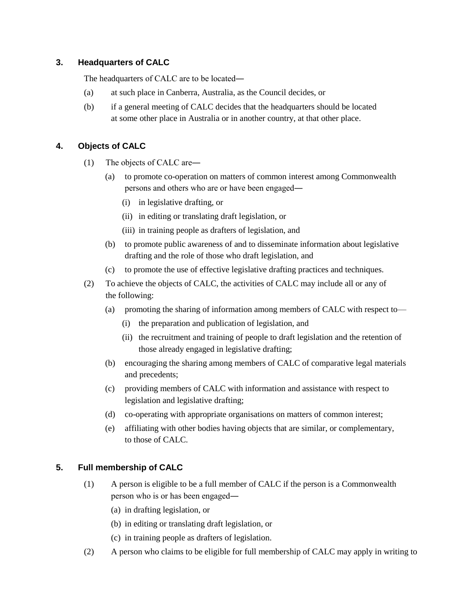# **3. Headquarters of CALC**

The headquarters of CALC are to be located―

- (a) at such place in Canberra, Australia, as the Council decides, or
- (b) if a general meeting of CALC decides that the headquarters should be located at some other place in Australia or in another country, at that other place.

# **4. Objects of CALC**

- (1) The objects of CALC are―
	- (a) to promote co-operation on matters of common interest among Commonwealth persons and others who are or have been engaged―
		- (i) in legislative drafting, or
		- (ii) in editing or translating draft legislation, or
		- (iii) in training people as drafters of legislation, and
	- (b) to promote public awareness of and to disseminate information about legislative drafting and the role of those who draft legislation, and
	- (c) to promote the use of effective legislative drafting practices and techniques.
- (2) To achieve the objects of CALC, the activities of CALC may include all or any of the following:
	- (a) promoting the sharing of information among members of CALC with respect to—
		- (i) the preparation and publication of legislation, and
		- (ii) the recruitment and training of people to draft legislation and the retention of those already engaged in legislative drafting;
	- (b) encouraging the sharing among members of CALC of comparative legal materials and precedents;
	- (c) providing members of CALC with information and assistance with respect to legislation and legislative drafting;
	- (d) co-operating with appropriate organisations on matters of common interest;
	- (e) affiliating with other bodies having objects that are similar, or complementary, to those of CALC.

# **5. Full membership of CALC**

- (1) A person is eligible to be a full member of CALC if the person is a Commonwealth person who is or has been engaged―
	- (a) in drafting legislation, or
	- (b) in editing or translating draft legislation, or
	- (c) in training people as drafters of legislation.
- (2) A person who claims to be eligible for full membership of CALC may apply in writing to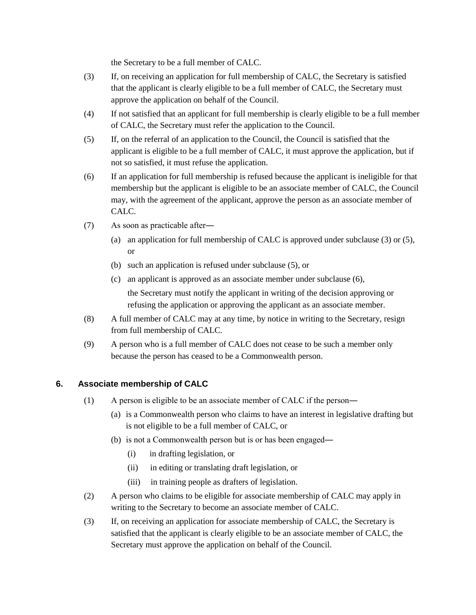the Secretary to be a full member of CALC.

- (3) If, on receiving an application for full membership of CALC, the Secretary is satisfied that the applicant is clearly eligible to be a full member of CALC, the Secretary must approve the application on behalf of the Council.
- (4) If not satisfied that an applicant for full membership is clearly eligible to be a full member of CALC, the Secretary must refer the application to the Council.
- (5) If, on the referral of an application to the Council, the Council is satisfied that the applicant is eligible to be a full member of CALC, it must approve the application, but if not so satisfied, it must refuse the application.
- (6) If an application for full membership is refused because the applicant is ineligible for that membership but the applicant is eligible to be an associate member of CALC, the Council may, with the agreement of the applicant, approve the person as an associate member of CALC.
- (7) As soon as practicable after―
	- (a) an application for full membership of CALC is approved under subclause (3) or (5), or
	- (b) such an application is refused under subclause (5), or
	- (c) an applicant is approved as an associate member under subclause (6), the Secretary must notify the applicant in writing of the decision approving or refusing the application or approving the applicant as an associate member.
- (8) A full member of CALC may at any time, by notice in writing to the Secretary, resign from full membership of CALC.
- (9) A person who is a full member of CALC does not cease to be such a member only because the person has ceased to be a Commonwealth person.

# **6. Associate membership of CALC**

- (1) A person is eligible to be an associate member of CALC if the person―
	- (a) is a Commonwealth person who claims to have an interest in legislative drafting but is not eligible to be a full member of CALC, or
	- (b) is not a Commonwealth person but is or has been engaged―
		- (i) in drafting legislation, or
		- (ii) in editing or translating draft legislation, or
		- (iii) in training people as drafters of legislation.
- (2) A person who claims to be eligible for associate membership of CALC may apply in writing to the Secretary to become an associate member of CALC.
- (3) If, on receiving an application for associate membership of CALC, the Secretary is satisfied that the applicant is clearly eligible to be an associate member of CALC, the Secretary must approve the application on behalf of the Council.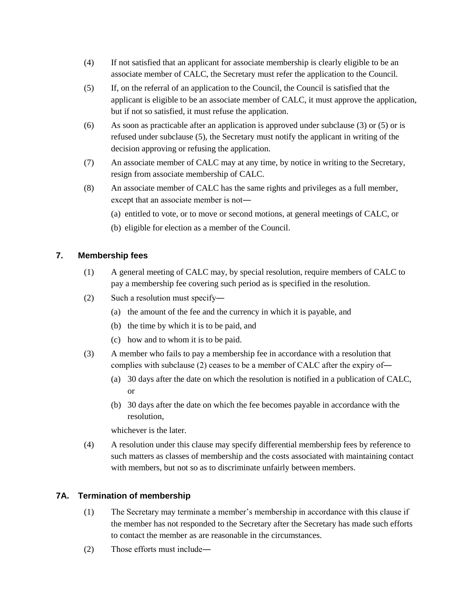- (4) If not satisfied that an applicant for associate membership is clearly eligible to be an associate member of CALC, the Secretary must refer the application to the Council.
- (5) If, on the referral of an application to the Council, the Council is satisfied that the applicant is eligible to be an associate member of CALC, it must approve the application, but if not so satisfied, it must refuse the application.
- (6) As soon as practicable after an application is approved under subclause (3) or (5) or is refused under subclause (5), the Secretary must notify the applicant in writing of the decision approving or refusing the application.
- (7) An associate member of CALC may at any time, by notice in writing to the Secretary, resign from associate membership of CALC.
- (8) An associate member of CALC has the same rights and privileges as a full member, except that an associate member is not―
	- (a) entitled to vote, or to move or second motions, at general meetings of CALC, or
	- (b) eligible for election as a member of the Council.

# **7. Membership fees**

- (1) A general meeting of CALC may, by special resolution, require members of CALC to pay a membership fee covering such period as is specified in the resolution.
- (2) Such a resolution must specify―
	- (a) the amount of the fee and the currency in which it is payable, and
	- (b) the time by which it is to be paid, and
	- (c) how and to whom it is to be paid.
- (3) A member who fails to pay a membership fee in accordance with a resolution that complies with subclause (2) ceases to be a member of CALC after the expiry of―
	- (a) 30 days after the date on which the resolution is notified in a publication of CALC, or
	- (b) 30 days after the date on which the fee becomes payable in accordance with the resolution,

whichever is the later.

(4) A resolution under this clause may specify differential membership fees by reference to such matters as classes of membership and the costs associated with maintaining contact with members, but not so as to discriminate unfairly between members.

# **7A. Termination of membership**

- (1) The Secretary may terminate a member's membership in accordance with this clause if the member has not responded to the Secretary after the Secretary has made such efforts to contact the member as are reasonable in the circumstances.
- (2) Those efforts must include―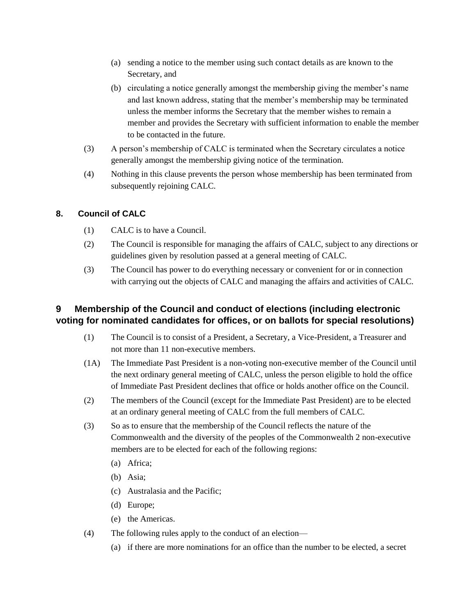- (a) sending a notice to the member using such contact details as are known to the Secretary, and
- (b) circulating a notice generally amongst the membership giving the member's name and last known address, stating that the member's membership may be terminated unless the member informs the Secretary that the member wishes to remain a member and provides the Secretary with sufficient information to enable the member to be contacted in the future.
- (3) A person's membership of CALC is terminated when the Secretary circulates a notice generally amongst the membership giving notice of the termination.
- (4) Nothing in this clause prevents the person whose membership has been terminated from subsequently rejoining CALC.

#### **8. Council of CALC**

- (1) CALC is to have a Council.
- (2) The Council is responsible for managing the affairs of CALC, subject to any directions or guidelines given by resolution passed at a general meeting of CALC.
- (3) The Council has power to do everything necessary or convenient for or in connection with carrying out the objects of CALC and managing the affairs and activities of CALC.

# **9 Membership of the Council and conduct of elections (including electronic voting for nominated candidates for offices, or on ballots for special resolutions)**

- (1) The Council is to consist of a President, a Secretary, a Vice-President, a Treasurer and not more than 11 non-executive members.
- (1A) The Immediate Past President is a non-voting non-executive member of the Council until the next ordinary general meeting of CALC, unless the person eligible to hold the office of Immediate Past President declines that office or holds another office on the Council.
- (2) The members of the Council (except for the Immediate Past President) are to be elected at an ordinary general meeting of CALC from the full members of CALC.
- (3) So as to ensure that the membership of the Council reflects the nature of the Commonwealth and the diversity of the peoples of the Commonwealth 2 non-executive members are to be elected for each of the following regions:
	- (a) Africa;
	- (b) Asia;
	- (c) Australasia and the Pacific;
	- (d) Europe;
	- (e) the Americas.
- (4) The following rules apply to the conduct of an election—
	- (a) if there are more nominations for an office than the number to be elected, a secret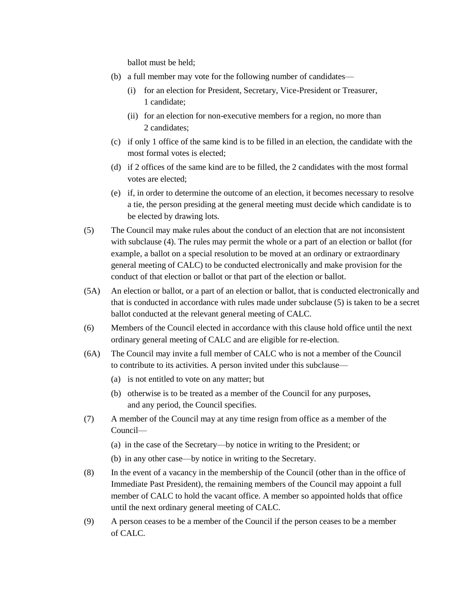ballot must be held;

- (b) a full member may vote for the following number of candidates—
	- (i) for an election for President, Secretary, Vice-President or Treasurer, 1 candidate;
	- (ii) for an election for non-executive members for a region, no more than 2 candidates;
- (c) if only 1 office of the same kind is to be filled in an election, the candidate with the most formal votes is elected;
- (d) if 2 offices of the same kind are to be filled, the 2 candidates with the most formal votes are elected;
- (e) if, in order to determine the outcome of an election, it becomes necessary to resolve a tie, the person presiding at the general meeting must decide which candidate is to be elected by drawing lots.
- (5) The Council may make rules about the conduct of an election that are not inconsistent with subclause (4). The rules may permit the whole or a part of an election or ballot (for example, a ballot on a special resolution to be moved at an ordinary or extraordinary general meeting of CALC) to be conducted electronically and make provision for the conduct of that election or ballot or that part of the election or ballot.
- (5A) An election or ballot, or a part of an election or ballot, that is conducted electronically and that is conducted in accordance with rules made under subclause (5) is taken to be a secret ballot conducted at the relevant general meeting of CALC.
- (6) Members of the Council elected in accordance with this clause hold office until the next ordinary general meeting of CALC and are eligible for re-election.
- (6A) The Council may invite a full member of CALC who is not a member of the Council to contribute to its activities. A person invited under this subclause—
	- (a) is not entitled to vote on any matter; but
	- (b) otherwise is to be treated as a member of the Council for any purposes, and any period, the Council specifies.
- (7) A member of the Council may at any time resign from office as a member of the Council—
	- (a) in the case of the Secretary—by notice in writing to the President; or
	- (b) in any other case—by notice in writing to the Secretary.
- (8) In the event of a vacancy in the membership of the Council (other than in the office of Immediate Past President), the remaining members of the Council may appoint a full member of CALC to hold the vacant office. A member so appointed holds that office until the next ordinary general meeting of CALC.
- (9) A person ceases to be a member of the Council if the person ceases to be a member of CALC.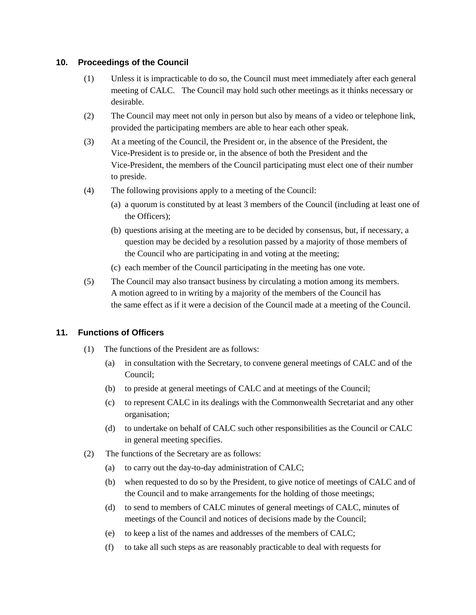### **10. Proceedings of the Council**

- (1) Unless it is impracticable to do so, the Council must meet immediately after each general meeting of CALC. The Council may hold such other meetings as it thinks necessary or desirable.
- (2) The Council may meet not only in person but also by means of a video or telephone link, provided the participating members are able to hear each other speak.
- (3) At a meeting of the Council, the President or, in the absence of the President, the Vice-President is to preside or, in the absence of both the President and the Vice-President, the members of the Council participating must elect one of their number to preside.
- (4) The following provisions apply to a meeting of the Council:
	- (a) a quorum is constituted by at least 3 members of the Council (including at least one of the Officers);
	- (b) questions arising at the meeting are to be decided by consensus, but, if necessary, a question may be decided by a resolution passed by a majority of those members of the Council who are participating in and voting at the meeting;
	- (c) each member of the Council participating in the meeting has one vote.
- (5) The Council may also transact business by circulating a motion among its members. A motion agreed to in writing by a majority of the members of the Council has the same effect as if it were a decision of the Council made at a meeting of the Council.

# **11. Functions of Officers**

- (1) The functions of the President are as follows:
	- (a) in consultation with the Secretary, to convene general meetings of CALC and of the Council;
	- (b) to preside at general meetings of CALC and at meetings of the Council;
	- (c) to represent CALC in its dealings with the Commonwealth Secretariat and any other organisation;
	- (d) to undertake on behalf of CALC such other responsibilities as the Council or CALC in general meeting specifies.
- (2) The functions of the Secretary are as follows:
	- (a) to carry out the day-to-day administration of CALC;
	- (b) when requested to do so by the President, to give notice of meetings of CALC and of the Council and to make arrangements for the holding of those meetings;
	- (d) to send to members of CALC minutes of general meetings of CALC, minutes of meetings of the Council and notices of decisions made by the Council;
	- (e) to keep a list of the names and addresses of the members of CALC;
	- (f) to take all such steps as are reasonably practicable to deal with requests for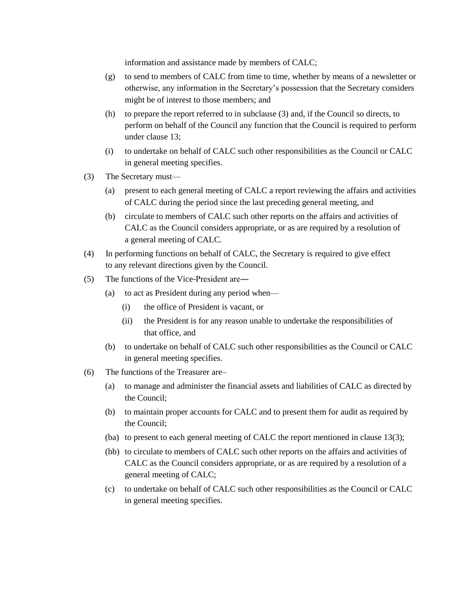information and assistance made by members of CALC;

- (g) to send to members of CALC from time to time, whether by means of a newsletter or otherwise, any information in the Secretary's possession that the Secretary considers might be of interest to those members; and
- (h) to prepare the report referred to in subclause (3) and, if the Council so directs, to perform on behalf of the Council any function that the Council is required to perform under clause 13;
- (i) to undertake on behalf of CALC such other responsibilities as the Council or CALC in general meeting specifies.
- (3) The Secretary must—
	- (a) present to each general meeting of CALC a report reviewing the affairs and activities of CALC during the period since the last preceding general meeting, and
	- (b) circulate to members of CALC such other reports on the affairs and activities of CALC as the Council considers appropriate, or as are required by a resolution of a general meeting of CALC.
- (4) In performing functions on behalf of CALC, the Secretary is required to give effect to any relevant directions given by the Council.
- (5) The functions of the Vice-President are―
	- (a) to act as President during any period when—
		- (i) the office of President is vacant, or
		- (ii) the President is for any reason unable to undertake the responsibilities of that office, and
	- (b) to undertake on behalf of CALC such other responsibilities as the Council or CALC in general meeting specifies.
- (6) The functions of the Treasurer are–
	- (a) to manage and administer the financial assets and liabilities of CALC as directed by the Council;
	- (b) to maintain proper accounts for CALC and to present them for audit as required by the Council;
	- (ba) to present to each general meeting of CALC the report mentioned in clause 13(3);
	- (bb) to circulate to members of CALC such other reports on the affairs and activities of CALC as the Council considers appropriate, or as are required by a resolution of a general meeting of CALC;
	- (c) to undertake on behalf of CALC such other responsibilities as the Council or CALC in general meeting specifies.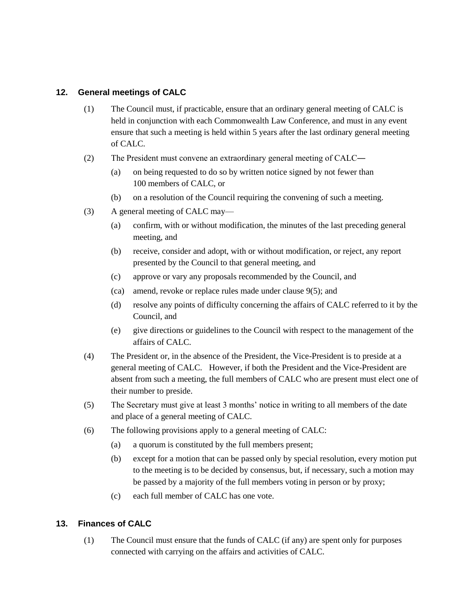## **12. General meetings of CALC**

- (1) The Council must, if practicable, ensure that an ordinary general meeting of CALC is held in conjunction with each Commonwealth Law Conference, and must in any event ensure that such a meeting is held within 5 years after the last ordinary general meeting of CALC.
- (2) The President must convene an extraordinary general meeting of CALC―
	- (a) on being requested to do so by written notice signed by not fewer than 100 members of CALC, or
	- (b) on a resolution of the Council requiring the convening of such a meeting.
- (3) A general meeting of CALC may—
	- (a) confirm, with or without modification, the minutes of the last preceding general meeting, and
	- (b) receive, consider and adopt, with or without modification, or reject, any report presented by the Council to that general meeting, and
	- (c) approve or vary any proposals recommended by the Council, and
	- (ca) amend, revoke or replace rules made under clause 9(5); and
	- (d) resolve any points of difficulty concerning the affairs of CALC referred to it by the Council, and
	- (e) give directions or guidelines to the Council with respect to the management of the affairs of CALC.
- (4) The President or, in the absence of the President, the Vice-President is to preside at a general meeting of CALC. However, if both the President and the Vice-President are absent from such a meeting, the full members of CALC who are present must elect one of their number to preside.
- (5) The Secretary must give at least 3 months' notice in writing to all members of the date and place of a general meeting of CALC.
- (6) The following provisions apply to a general meeting of CALC:
	- (a) a quorum is constituted by the full members present;
	- (b) except for a motion that can be passed only by special resolution, every motion put to the meeting is to be decided by consensus, but, if necessary, such a motion may be passed by a majority of the full members voting in person or by proxy;
	- (c) each full member of CALC has one vote.

# **13. Finances of CALC**

(1) The Council must ensure that the funds of CALC (if any) are spent only for purposes connected with carrying on the affairs and activities of CALC.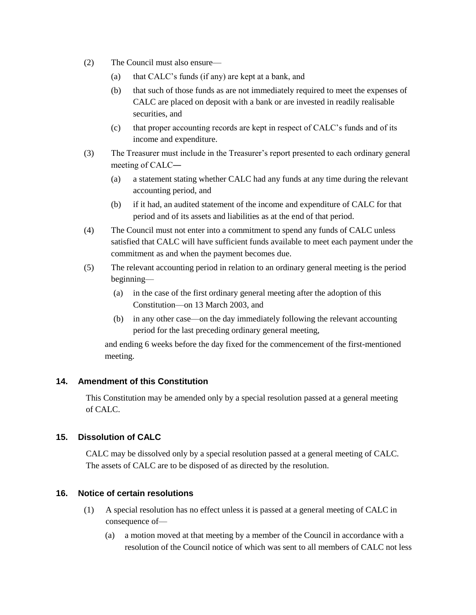- (2) The Council must also ensure—
	- (a) that CALC's funds (if any) are kept at a bank, and
	- (b) that such of those funds as are not immediately required to meet the expenses of CALC are placed on deposit with a bank or are invested in readily realisable securities, and
	- (c) that proper accounting records are kept in respect of CALC's funds and of its income and expenditure.
- (3) The Treasurer must include in the Treasurer's report presented to each ordinary general meeting of CALC―
	- (a) a statement stating whether CALC had any funds at any time during the relevant accounting period, and
	- (b) if it had, an audited statement of the income and expenditure of CALC for that period and of its assets and liabilities as at the end of that period.
- (4) The Council must not enter into a commitment to spend any funds of CALC unless satisfied that CALC will have sufficient funds available to meet each payment under the commitment as and when the payment becomes due.
- (5) The relevant accounting period in relation to an ordinary general meeting is the period beginning—
	- (a) in the case of the first ordinary general meeting after the adoption of this Constitution—on 13 March 2003, and
	- (b) in any other case—on the day immediately following the relevant accounting period for the last preceding ordinary general meeting,

and ending 6 weeks before the day fixed for the commencement of the first-mentioned meeting.

# **14. Amendment of this Constitution**

This Constitution may be amended only by a special resolution passed at a general meeting of CALC.

# **15. Dissolution of CALC**

CALC may be dissolved only by a special resolution passed at a general meeting of CALC. The assets of CALC are to be disposed of as directed by the resolution.

# **16. Notice of certain resolutions**

- (1) A special resolution has no effect unless it is passed at a general meeting of CALC in consequence of—
	- (a) a motion moved at that meeting by a member of the Council in accordance with a resolution of the Council notice of which was sent to all members of CALC not less